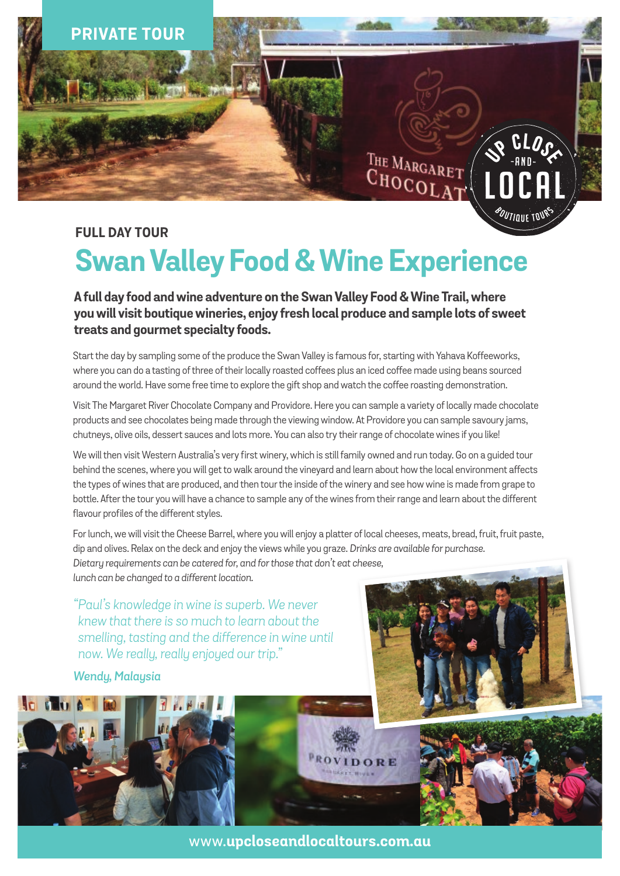

**FULL DAY TOUR**

# **Swan Valley Food & Wine Experience**

**A full day food and wine adventure on the Swan Valley Food & Wine Trail, where you will visit boutique wineries, enjoy fresh local produce and sample lots of sweet treats and gourmet specialty foods.**

Start the day by sampling some of the produce the Swan Valley is famous for, starting with Yahava Koffeeworks, where you can do a tasting of three of their locally roasted coffees plus an iced coffee made using beans sourced around the world. Have some free time to explore the gift shop and watch the coffee roasting demonstration.

Visit The Margaret River Chocolate Company and Providore. Here you can sample a variety of locally made chocolate products and see chocolates being made through the viewing window. At Providore you can sample savoury jams, chutneys, olive oils, dessert sauces and lots more. You can also try their range of chocolate wines if you like!

We will then visit Western Australia's very first winery, which is still family owned and run today. Go on a guided tour behind the scenes, where you will get to walk around the vineyard and learn about how the local environment affects the types of wines that are produced, and then tour the inside of the winery and see how wine is made from grape to bottle. After the tour you will have a chance to sample any of the wines from their range and learn about the different flavour profiles of the different styles.

For lunch, we will visit the Cheese Barrel, where you will enjoy a platter of local cheeses, meats, bread, fruit, fruit paste, dip and olives. Relax on the deck and enjoy the views while you graze. *Drinks are available for purchase. Dietary requirements can be catered for, and for those that don't eat cheese, lunch can be changed to a different location.*

*"Paul's knowledge in wine is superb. We never knew that there is so much to learn about the smelling, tasting and the difference in wine until now. We really, really enjoyed our trip."*

*Wendy, Malaysia*







www.**upcloseandlocaltours.com.au**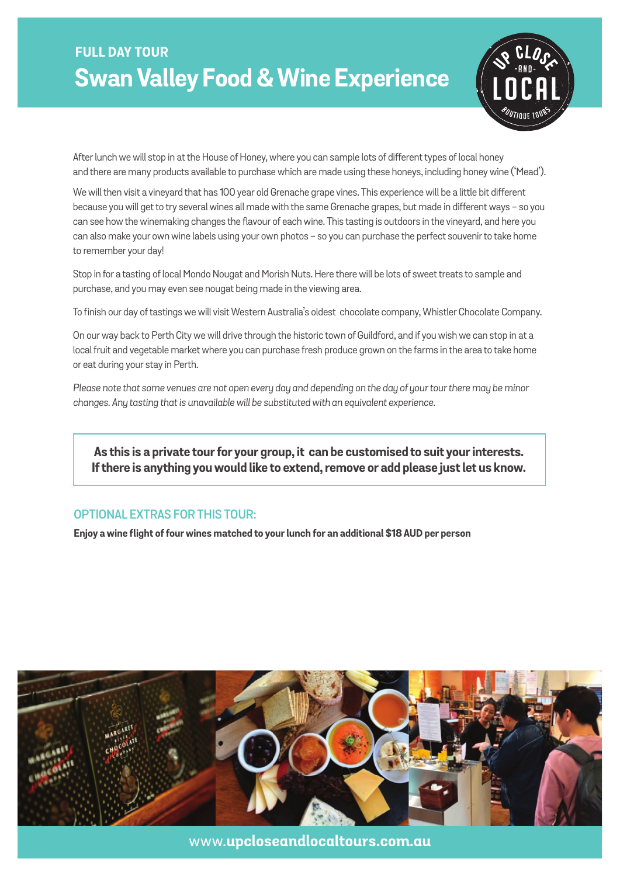# **FULL DAY TOUR Swan Valley Food & Wine Experience**



After lunch we will stop in at the House of Honey, where you can sample lots of different types of local honey and there are many products available to purchase which are made using these honeys, including honey wine ('Mead').

We will then visit a vineyard that has 100 year old Grenache grape vines. This experience will be a little bit different because you will get to try several wines all made with the same Grenache grapes, but made in different ways - so you can see how the winemaking changes the flavour of each wine. This tasting is outdoors in the vineyard, and here you can also make your own wine labels using your own photos - so you can purchase the perfect souvenir to take home to remember your day!

Stop in for a tasting of local Mondo Nougat and Morish Nuts. Here there will be lots of sweet treats to sample and purchase, and you may even see nougat being made in the viewing area.

To finish our day of tastings we will visit Western Australia's oldest chocolate company, Whistler Chocolate Company.

On our way back to Perth City we will drive through the historic town of Guildford, and if you wish we can stop in at a local fruit and vegetable market where you can purchase fresh produce grown on the farms in the area to take home or eat during your stay in Perth.

*Please note that some venues are not open every day and depending on the day of your tour there may be minor changes. Any tasting that is unavailable will be substituted with an equivalent experience.*

**As this is a private tour for your group, it can be customised to suit your interests. If there is anything you would like to extend, remove or add please just let us know.**

### **optional extras for this tour:**

**Enjoy a wine flight of four wines matched to your lunch for an additional \$18 AUD per person**



www.**upcloseandlocaltours.com.au**